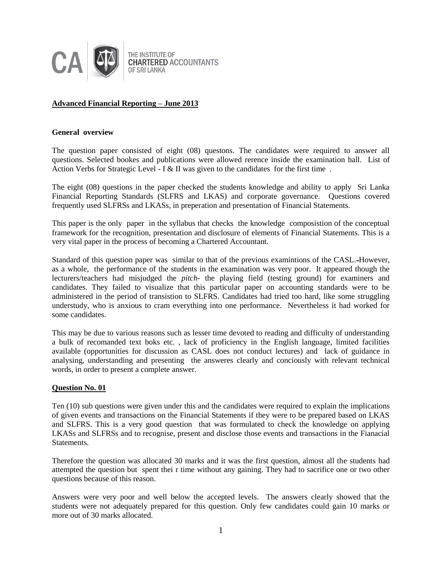

THE INSTITUTE OF **CHARTERED ACCOUNTANTS OF SRILANKA** 

# **Advanced Financial Reporting – June 2013**

#### **General overview**

The question paper consisted of eight (08) questons. The candidates were required to answer all questions. Selected bookes and publications were allowed rerence inside the examination hall. List of Action Verbs for Strategic Level - I & II was given to the candidates for the first time.

The eight (08) questions in the paper checked the students knowledge and ability to apply Sri Lanka Financial Reporting Standards (SLFRS and LKAS) and corporate governance. Questions covered frequently used SLFRSs and LKASs, in preperation and presentation of Financial Statements.

This paper is the only paper in the syllabus that checks the knowledge composistion of the conceptual framework for the recognition, presentation and disclosure of elements of Financial Statements. This is a very vital paper in the process of becoming a Chartered Accountant.

Standard of this question paper was similar to that of the previous examintions of the CASL. However, as a whole, the performance of the students in the examination was very poor. It appeared though the lecturers/teachers had misjudged the *pitch-* the playing field (testing ground) for examiners and candidates. They failed to visualize that this particular paper on accounting standards were to be administered in the period of transistion to SLFRS. Candidates had tried too hard, like some struggling understudy, who is anxious to cram everything into one performance. Nevertheless it had worked for some candidates.

This may be due to various reasons such as lesser time devoted to reading and difficulty of understanding a bulk of recomanded text boks etc. , lack of proficiency in the English language, limited facilities available (opportunities for discussion as CASL does not conduct lectures) and lack of guidance in analysing, understanding and presenting the answeres clearly and conciously with relevant technical words, in order to present a complete answer.

#### **Question No. 01**

Ten (10) sub questions were given under this and the candidates were required to explain the implications of given events and transactions on the Financial Statements if they were to be prepared based on LKAS and SLFRS. This is a very good question that was formulated to check the knowledge on applying LKASs and SLFRSs and to recognise, present and disclose those events and transactions in the Fianacial Statements.

Therefore the question was allocated 30 marks and it was the first question, almost all the students had attempted the question but spent thei r time without any gaining. They had to sacrifice one or two other questions because of this reason.

Answers were very poor and well below the accepted levels. The answers clearly showed that the students were not adequately prepared for this question. Only few candidates could gain 10 marks or more out of 30 marks allocated.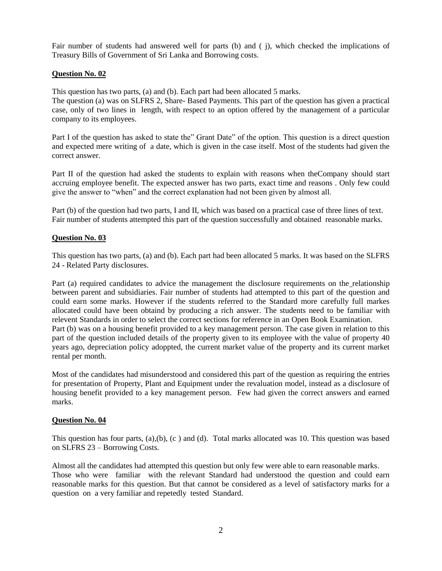Fair number of students had answered well for parts (b) and ( j), which checked the implications of Treasury Bills of Government of Sri Lanka and Borrowing costs.

# **Question No. 02**

This question has two parts, (a) and (b). Each part had been allocated 5 marks.

The question (a) was on SLFRS 2, Share- Based Payments. This part of the question has given a practical case, only of two lines in length, with respect to an option offered by the management of a particular company to its employees.

Part I of the question has asked to state the" Grant Date" of the option. This question is a direct question and expected mere writing of a date, which is given in the case itself. Most of the students had given the correct answer.

Part II of the question had asked the students to explain with reasons when theCompany should start accruing employee benefit. The expected answer has two parts, exact time and reasons . Only few could give the answer to "when" and the correct explanation had not been given by almost all.

Part (b) of the question had two parts, I and II, which was based on a practical case of three lines of text. Fair number of students attempted this part of the question successfully and obtained reasonable marks.

# **Question No. 03**

This question has two parts, (a) and (b). Each part had been allocated 5 marks. It was based on the SLFRS 24 - Related Party disclosures.

Part (a) required candidates to advice the management the disclosure requirements on the relationship between parent and subsidiaries. Fair number of students had attempted to this part of the question and could earn some marks. However if the students referred to the Standard more carefully full markes allocated could have been obtaind by producing a rich answer. The students need to be familiar with relevent Standards in order to select the correct sections for reference in an Open Book Examination. Part (b) was on a housing benefit provided to a key management person. The case given in relation to this part of the question included details of the property given to its employee with the value of property 40 years ago, depreciation policy adoppted, the current market value of the property and its current market rental per month.

Most of the candidates had misunderstood and considered this part of the question as requiring the entries for presentation of Property, Plant and Equipment under the revaluation model, instead as a disclosure of housing benefit provided to a key management person. Few had given the correct answers and earned marks.

# **Question No. 04**

This question has four parts,  $(a),(b), (c)$  and  $(d)$ . Total marks allocated was 10. This question was based on SLFRS 23 – Borrowing Costs.

Almost all the candidates had attempted this question but only few were able to earn reasonable marks. Those who were familiar with the relevant Standard had understood the question and could earn reasonable marks for this question. But that cannot be considered as a level of satisfactory marks for a question on a very familiar and repetedly tested Standard.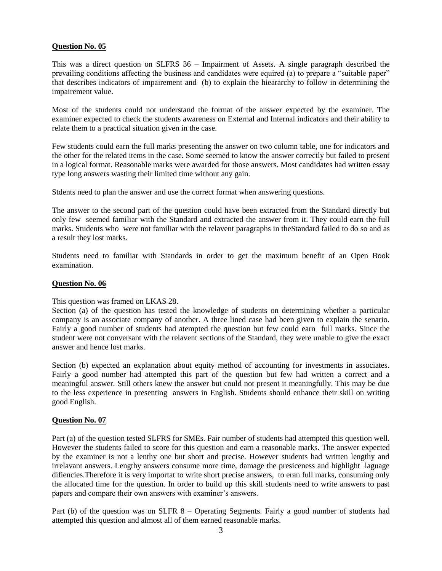# **Question No. 05**

This was a direct question on SLFRS 36 – Impairment of Assets. A single paragraph described the prevailing conditions affecting the business and candidates were equired (a) to prepare a "suitable paper" that describes indicators of impairement and (b) to explain the hieararchy to follow in determining the impairement value.

Most of the students could not understand the format of the answer expected by the examiner. The examiner expected to check the students awareness on External and Internal indicators and their ability to relate them to a practical situation given in the case.

Few students could earn the full marks presenting the answer on two column table, one for indicators and the other for the related items in the case. Some seemed to know the answer correctly but failed to present in a logical format. Reasonable marks were awarded for those answers. Most candidates had written essay type long answers wasting their limited time without any gain.

Stdents need to plan the answer and use the correct format when answering questions.

The answer to the second part of the question could have been extracted from the Standard directly but only few seemed familiar with the Standard and extracted the answer from it. They could earn the full marks. Students who were not familiar with the relavent paragraphs in theStandard failed to do so and as a result they lost marks.

Students need to familiar with Standards in order to get the maximum benefit of an Open Book examination.

# **Question No. 06**

This question was framed on LKAS 28.

Section (a) of the question has tested the knowledge of students on determining whether a particular company is an associate company of another. A three lined case had been given to explain the senario. Fairly a good number of students had atempted the question but few could earn full marks. Since the student were not conversant with the relavent sections of the Standard, they were unable to give the exact answer and hence lost marks.

Section (b) expected an explanation about equity method of accounting for investments in associates. Fairly a good number had attempted this part of the question but few had written a correct and a meaningful answer. Still others knew the answer but could not present it meaningfully. This may be due to the less experience in presenting answers in English. Students should enhance their skill on writing good English.

# **Question No. 07**

Part (a) of the question tested SLFRS for SMEs. Fair number of students had attempted this question well. However the students failed to score for this question and earn a reasonable marks. The answer expected by the examiner is not a lenthy one but short and precise. However students had written lengthy and irrelavant answers. Lengthy answers consume more time, damage the presiceness and highlight laguage difiencies.Therefore it is very importat to write short precise answers, to eran full marks, consuming only the allocated time for the question. In order to build up this skill students need to write answers to past papers and compare their own answers with examiner's answers.

Part (b) of the question was on SLFR 8 – Operating Segments. Fairly a good number of students had attempted this question and almost all of them earned reasonable marks.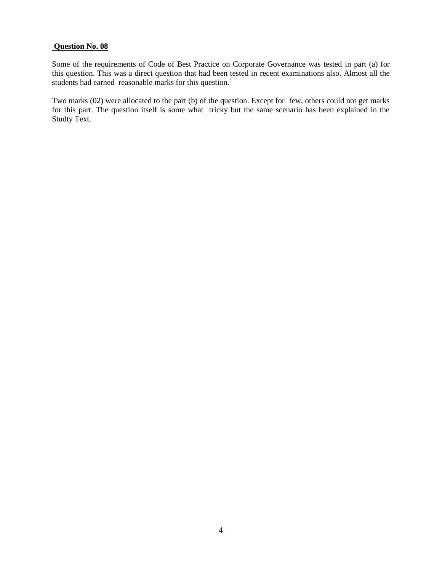#### **Question No. 08**

Some of the requirements of Code of Best Practice on Corporate Governance was tested in part (a) for this question. This was a direct question that had been tested in recent examinations also. Almost all the students had earned reasonable marks for this question.'

Two marks (02) were allocated to the part (b) of the question. Except for few, others could not get marks for this part. The question itself is some what tricky but the same scenario has been explained in the Studty Text.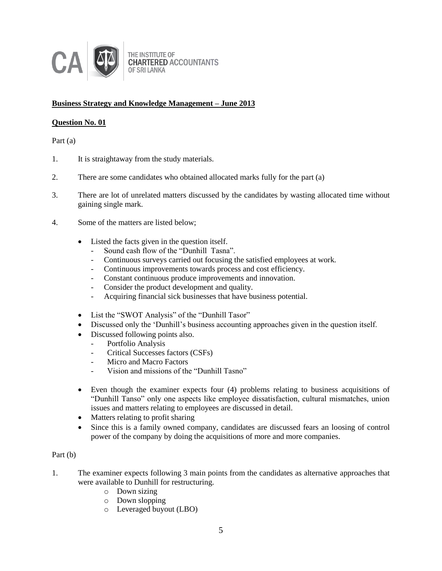

# **Business Strategy and Knowledge Management – June 2013**

# **Question No. 01**

Part (a)

- 1. It is straightaway from the study materials.
- 2. There are some candidates who obtained allocated marks fully for the part (a)
- 3. There are lot of unrelated matters discussed by the candidates by wasting allocated time without gaining single mark.
- 4. Some of the matters are listed below;
	- Listed the facts given in the question itself.
		- Sound cash flow of the "Dunhill Tasna".
		- Continuous surveys carried out focusing the satisfied employees at work.
		- Continuous improvements towards process and cost efficiency.
		- Constant continuous produce improvements and innovation.
		- Consider the product development and quality.
		- Acquiring financial sick businesses that have business potential.
	- List the "SWOT Analysis" of the "Dunhill Tasor"
	- Discussed only the 'Dunhill's business accounting approaches given in the question itself.
	- Discussed following points also.
		- Portfolio Analysis
		- Critical Successes factors (CSFs)
		- Micro and Macro Factors
		- Vision and missions of the "Dunhill Tasno"
	- Even though the examiner expects four (4) problems relating to business acquisitions of "Dunhill Tanso" only one aspects like employee dissatisfaction, cultural mismatches, union issues and matters relating to employees are discussed in detail.
	- Matters relating to profit sharing
	- Since this is a family owned company, candidates are discussed fears an loosing of control power of the company by doing the acquisitions of more and more companies.

# Part (b)

- 1. The examiner expects following 3 main points from the candidates as alternative approaches that were available to Dunhill for restructuring.
	- o Down sizing
	- o Down slopping
	- o Leveraged buyout (LBO)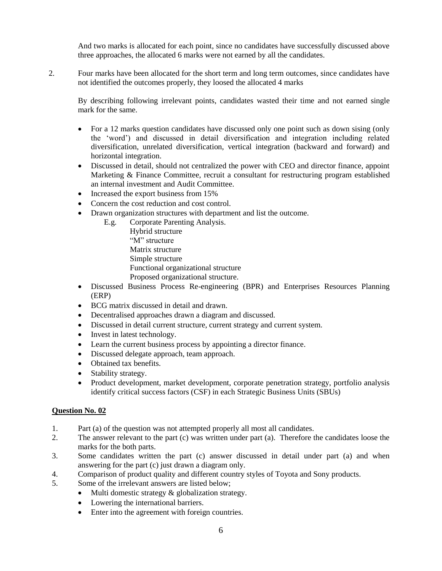And two marks is allocated for each point, since no candidates have successfully discussed above three approaches, the allocated 6 marks were not earned by all the candidates.

2. Four marks have been allocated for the short term and long term outcomes, since candidates have not identified the outcomes properly, they loosed the allocated 4 marks

By describing following irrelevant points, candidates wasted their time and not earned single mark for the same.

- For a 12 marks question candidates have discussed only one point such as down sising (only the 'word') and discussed in detail diversification and integration including related diversification, unrelated diversification, vertical integration (backward and forward) and horizontal integration.
- Discussed in detail, should not centralized the power with CEO and director finance, appoint Marketing & Finance Committee, recruit a consultant for restructuring program established an internal investment and Audit Committee.
- Increased the export business from 15%
- Concern the cost reduction and cost control.
- Drawn organization structures with department and list the outcome.
	- E.g. Corporate Parenting Analysis. Hybrid structure "M" structure Matrix structure Simple structure Functional organizational structure Proposed organizational structure.
- Discussed Business Process Re-engineering (BPR) and Enterprises Resources Planning (ERP)
- BCG matrix discussed in detail and drawn.
- Decentralised approaches drawn a diagram and discussed.
- Discussed in detail current structure, current strategy and current system.
- Invest in latest technology.
- Learn the current business process by appointing a director finance.
- Discussed delegate approach, team approach.
- Obtained tax benefits.
- Stability strategy.
- Product development, market development, corporate penetration strategy, portfolio analysis identify critical success factors (CSF) in each Strategic Business Units (SBUs)

# **Question No. 02**

- 1. Part (a) of the question was not attempted properly all most all candidates.
- 2. The answer relevant to the part (c) was written under part (a). Therefore the candidates loose the marks for the both parts.
- 3. Some candidates written the part (c) answer discussed in detail under part (a) and when answering for the part (c) just drawn a diagram only.
- 4. Comparison of product quality and different country styles of Toyota and Sony products.
- 5. Some of the irrelevant answers are listed below;
	- $\bullet$  Multi domestic strategy  $\&$  globalization strategy.
	- Lowering the international barriers.
	- Enter into the agreement with foreign countries.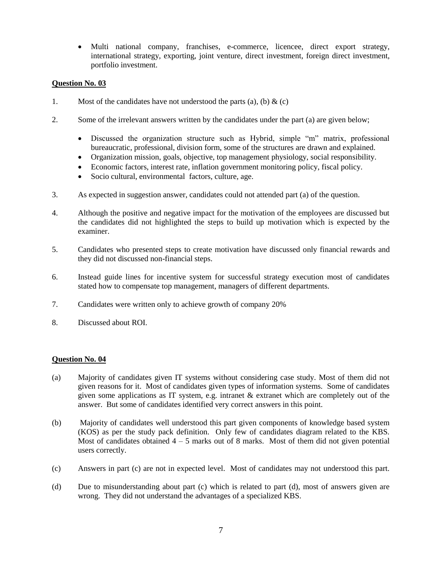Multi national company, franchises, e-commerce, licencee, direct export strategy, international strategy, exporting, joint venture, direct investment, foreign direct investment, portfolio investment.

# **Question No. 03**

- 1. Most of the candidates have not understood the parts (a), (b)  $\&$  (c)
- 2. Some of the irrelevant answers written by the candidates under the part (a) are given below;
	- Discussed the organization structure such as Hybrid, simple "m" matrix, professional bureaucratic, professional, division form, some of the structures are drawn and explained.
	- Organization mission, goals, objective, top management physiology, social responsibility.
	- Economic factors, interest rate, inflation government monitoring policy, fiscal policy.
	- Socio cultural, environmental factors, culture, age.
- 3. As expected in suggestion answer, candidates could not attended part (a) of the question.
- 4. Although the positive and negative impact for the motivation of the employees are discussed but the candidates did not highlighted the steps to build up motivation which is expected by the examiner.
- 5. Candidates who presented steps to create motivation have discussed only financial rewards and they did not discussed non-financial steps.
- 6. Instead guide lines for incentive system for successful strategy execution most of candidates stated how to compensate top management, managers of different departments.
- 7. Candidates were written only to achieve growth of company 20%
- 8. Discussed about ROI.

# **Question No. 04**

- (a) Majority of candidates given IT systems without considering case study. Most of them did not given reasons for it. Most of candidates given types of information systems. Some of candidates given some applications as IT system, e.g. intranet  $\&$  extranet which are completely out of the answer. But some of candidates identified very correct answers in this point.
- (b) Majority of candidates well understood this part given components of knowledge based system (KOS) as per the study pack definition. Only few of candidates diagram related to the KBS. Most of candidates obtained  $4 - 5$  marks out of 8 marks. Most of them did not given potential users correctly.
- (c) Answers in part (c) are not in expected level. Most of candidates may not understood this part.
- (d) Due to misunderstanding about part (c) which is related to part (d), most of answers given are wrong. They did not understand the advantages of a specialized KBS.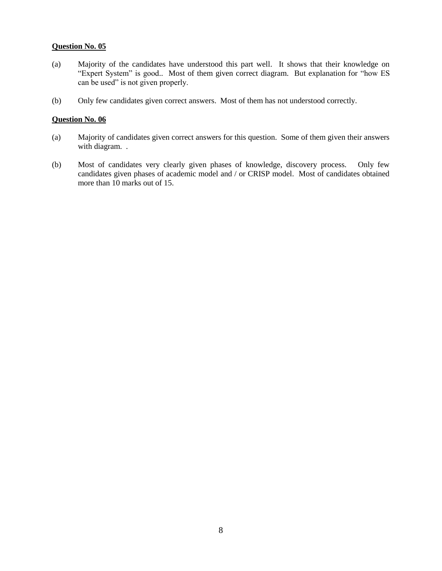# **Question No. 05**

- (a) Majority of the candidates have understood this part well. It shows that their knowledge on "Expert System" is good.. Most of them given correct diagram. But explanation for "how ES can be used" is not given properly.
- (b) Only few candidates given correct answers. Most of them has not understood correctly.

#### **Question No. 06**

- (a) Majority of candidates given correct answers for this question. Some of them given their answers with diagram. .
- (b) Most of candidates very clearly given phases of knowledge, discovery process. Only few candidates given phases of academic model and / or CRISP model. Most of candidates obtained more than 10 marks out of 15.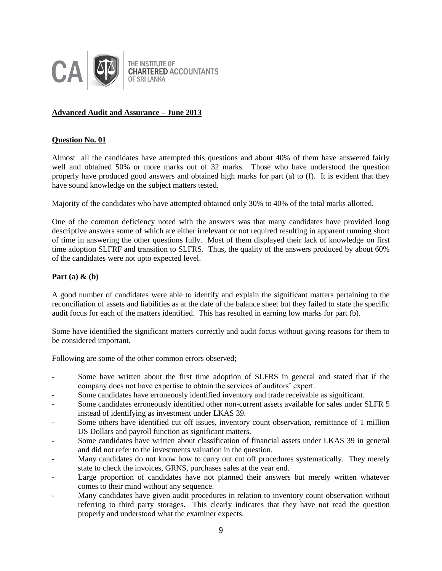

# **Advanced Audit and Assurance – June 2013**

#### **Question No. 01**

Almost all the candidates have attempted this questions and about 40% of them have answered fairly well and obtained 50% or more marks out of 32 marks. Those who have understood the question properly have produced good answers and obtained high marks for part (a) to (f). It is evident that they have sound knowledge on the subject matters tested.

Majority of the candidates who have attempted obtained only 30% to 40% of the total marks allotted.

One of the common deficiency noted with the answers was that many candidates have provided long descriptive answers some of which are either irrelevant or not required resulting in apparent running short of time in answering the other questions fully. Most of them displayed their lack of knowledge on first time adoption SLFRF and transition to SLFRS. Thus, the quality of the answers produced by about 60% of the candidates were not upto expected level.

#### **Part (a) & (b)**

A good number of candidates were able to identify and explain the significant matters pertaining to the reconciliation of assets and liabilities as at the date of the balance sheet but they failed to state the specific audit focus for each of the matters identified. This has resulted in earning low marks for part (b).

Some have identified the significant matters correctly and audit focus without giving reasons for them to be considered important.

Following are some of the other common errors observed;

- Some have written about the first time adoption of SLFRS in general and stated that if the company does not have expertise to obtain the services of auditors' expert.
- Some candidates have erroneously identified inventory and trade receivable as significant.
- Some candidates erroneously identified other non-current assets available for sales under SLFR 5 instead of identifying as investment under LKAS 39.
- Some others have identified cut off issues, inventory count observation, remittance of 1 million US Dollars and payroll function as significant matters.
- Some candidates have written about classification of financial assets under LKAS 39 in general and did not refer to the investments valuation in the question.
- Many candidates do not know how to carry out cut off procedures systematically. They merely state to check the invoices, GRNS, purchases sales at the year end.
- Large proportion of candidates have not planned their answers but merely written whatever comes to their mind without any sequence.
- Many candidates have given audit procedures in relation to inventory count observation without referring to third party storages. This clearly indicates that they have not read the question properly and understood what the examiner expects.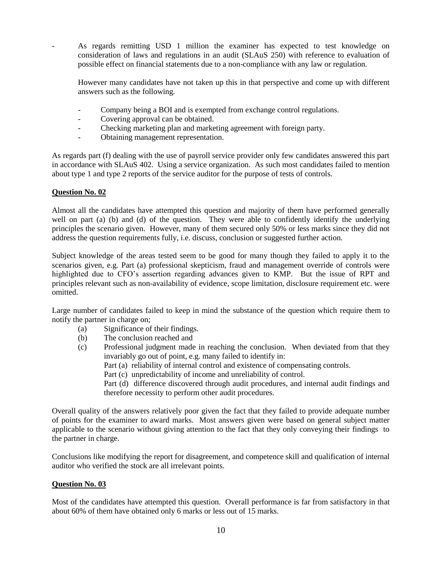As regards remitting USD 1 million the examiner has expected to test knowledge on consideration of laws and regulations in an audit (SLAuS 250) with reference to evaluation of possible effect on financial statements due to a non-compliance with any law or regulation.

However many candidates have not taken up this in that perspective and come up with different answers such as the following.

- Company being a BOI and is exempted from exchange control regulations.
- Covering approval can be obtained.
- Checking marketing plan and marketing agreement with foreign party.
- Obtaining management representation.

As regards part (f) dealing with the use of payroll service provider only few candidates answered this part in accordance with SLAuS 402. Using a service organization. As such most candidates failed to mention about type 1 and type 2 reports of the service auditor for the purpose of tests of controls.

# **Question No. 02**

Almost all the candidates have attempted this question and majority of them have performed generally well on part (a) (b) and (d) of the question. They were able to confidently identify the underlying principles the scenario given. However, many of them secured only 50% or less marks since they did not address the question requirements fully, i.e. discuss, conclusion or suggested further action.

Subject knowledge of the areas tested seem to be good for many though they failed to apply it to the scenarios given, e.g. Part (a) professional skepticism, fraud and management override of controls were highlighted due to CFO's assertion regarding advances given to KMP. But the issue of RPT and principles relevant such as non-availability of evidence, scope limitation, disclosure requirement etc. were omitted.

Large number of candidates failed to keep in mind the substance of the question which require them to notify the partner in charge on;

- (a) Significance of their findings.
- (b) The conclusion reached and
- (c) Professional judgment made in reaching the conclusion. When deviated from that they invariably go out of point, e.g. many failed to identify in:
	- Part (a) reliability of internal control and existence of compensating controls.
	- Part (c) unpredictability of income and unreliability of control.
	- Part (d) difference discovered through audit procedures, and internal audit findings and therefore necessity to perform other audit procedures.

Overall quality of the answers relatively poor given the fact that they failed to provide adequate number of points for the examiner to award marks. Most answers given were based on general subject matter applicable to the scenario without giving attention to the fact that they only conveying their findings to the partner in charge.

Conclusions like modifying the report for disagreement, and competence skill and qualification of internal auditor who verified the stock are all irrelevant points.

# **Question No. 03**

Most of the candidates have attempted this question. Overall performance is far from satisfactory in that about 60% of them have obtained only 6 marks or less out of 15 marks.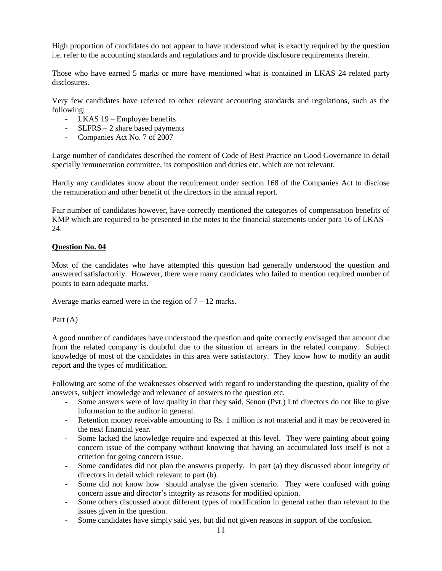High proportion of candidates do not appear to have understood what is exactly required by the question i.e. refer to the accounting standards and regulations and to provide disclosure requirements therein.

Those who have earned 5 marks or more have mentioned what is contained in LKAS 24 related party disclosures.

Very few candidates have referred to other relevant accounting standards and regulations, such as the following;

- LKAS 19 Employee benefits
- SLFRS 2 share based payments
- Companies Act No. 7 of 2007

Large number of candidates described the content of Code of Best Practice on Good Governance in detail specially remuneration committee, its composition and duties etc. which are not relevant.

Hardly any candidates know about the requirement under section 168 of the Companies Act to disclose the remuneration and other benefit of the directors in the annual report.

Fair number of candidates however, have correctly mentioned the categories of compensation benefits of KMP which are required to be presented in the notes to the financial statements under para 16 of LKAS – 24.

# **Question No. 04**

Most of the candidates who have attempted this question had generally understood the question and answered satisfactorily. However, there were many candidates who failed to mention required number of points to earn adequate marks.

Average marks earned were in the region of  $7 - 12$  marks.

Part (A)

A good number of candidates have understood the question and quite correctly envisaged that amount due from the related company is doubtful due to the situation of arrears in the related company. Subject knowledge of most of the candidates in this area were satisfactory. They know how to modify an audit report and the types of modification.

Following are some of the weaknesses observed with regard to understanding the question, quality of the answers, subject knowledge and relevance of answers to the question etc.

- Some answers were of low quality in that they said, Senon (Pvt.) Ltd directors do not like to give information to the auditor in general.
- Retention money receivable amounting to Rs. 1 million is not material and it may be recovered in the next financial year.
- Some lacked the knowledge require and expected at this level. They were painting about going concern issue of the company without knowing that having an accumulated loss itself is not a criterion for going concern issue.
- Some candidates did not plan the answers properly. In part (a) they discussed about integrity of directors in detail which relevant to part (b).
- Some did not know how should analyse the given scenario. They were confused with going concern issue and director's integrity as reasons for modified opinion.
- Some others discussed about different types of modification in general rather than relevant to the issues given in the question.
- Some candidates have simply said yes, but did not given reasons in support of the confusion.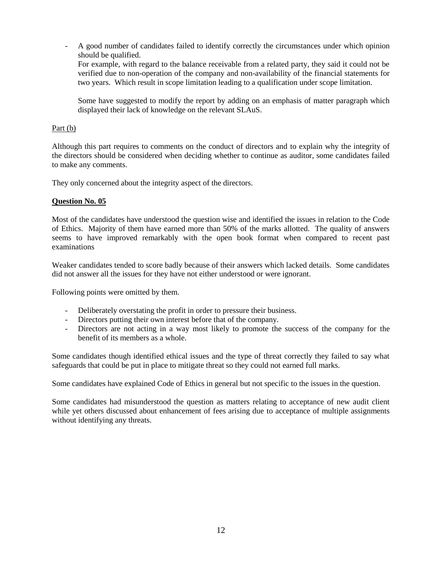- A good number of candidates failed to identify correctly the circumstances under which opinion should be qualified. For example, with regard to the balance receivable from a related party, they said it could not be verified due to non-operation of the company and non-availability of the financial statements for two years. Which result in scope limitation leading to a qualification under scope limitation.

Some have suggested to modify the report by adding on an emphasis of matter paragraph which displayed their lack of knowledge on the relevant SLAuS.

#### Part (b)

Although this part requires to comments on the conduct of directors and to explain why the integrity of the directors should be considered when deciding whether to continue as auditor, some candidates failed to make any comments.

They only concerned about the integrity aspect of the directors.

#### **Question No. 05**

Most of the candidates have understood the question wise and identified the issues in relation to the Code of Ethics. Majority of them have earned more than 50% of the marks allotted. The quality of answers seems to have improved remarkably with the open book format when compared to recent past examinations

Weaker candidates tended to score badly because of their answers which lacked details. Some candidates did not answer all the issues for they have not either understood or were ignorant.

Following points were omitted by them.

- Deliberately overstating the profit in order to pressure their business.
- Directors putting their own interest before that of the company.
- Directors are not acting in a way most likely to promote the success of the company for the benefit of its members as a whole.

Some candidates though identified ethical issues and the type of threat correctly they failed to say what safeguards that could be put in place to mitigate threat so they could not earned full marks.

Some candidates have explained Code of Ethics in general but not specific to the issues in the question.

Some candidates had misunderstood the question as matters relating to acceptance of new audit client while yet others discussed about enhancement of fees arising due to acceptance of multiple assignments without identifying any threats.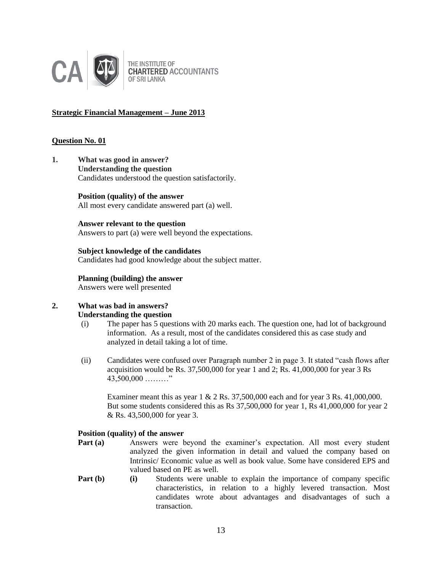

THE INSTITUTE OF **CHARTERED ACCOUNTANTS OF SRI LANKA** 

# **Strategic Financial Management – June 2013**

## **Question No. 01**

**1. What was good in answer? Understanding the question**  Candidates understood the question satisfactorily.

> **Position (quality) of the answer** All most every candidate answered part (a) well.

# **Answer relevant to the question**

Answers to part (a) were well beyond the expectations.

**Subject knowledge of the candidates** Candidates had good knowledge about the subject matter.

# **Planning (building) the answer**

Answers were well presented

#### **2. What was bad in answers? Understanding the question**

- (i) The paper has 5 questions with 20 marks each. The question one, had lot of background information. As a result, most of the candidates considered this as case study and analyzed in detail taking a lot of time.
- (ii) Candidates were confused over Paragraph number 2 in page 3. It stated "cash flows after acquisition would be Rs.  $37,500,000$  for year 1 and 2; Rs.  $41,000,000$  for year 3 Rs 43,500,000 ………"

Examiner meant this as year 1 & 2 Rs. 37,500,000 each and for year 3 Rs. 41,000,000. But some students considered this as Rs 37,500,000 for year 1, Rs 41,000,000 for year 2 & Rs. 43,500,000 for year 3.

# **Position (quality) of the answer**

- **Part (a)** Answers were beyond the examiner's expectation. All most every student analyzed the given information in detail and valued the company based on Intrinsic/ Economic value as well as book value. Some have considered EPS and valued based on PE as well.
- **Part (b)** (i) Students were unable to explain the importance of company specific characteristics, in relation to a highly levered transaction. Most candidates wrote about advantages and disadvantages of such a transaction.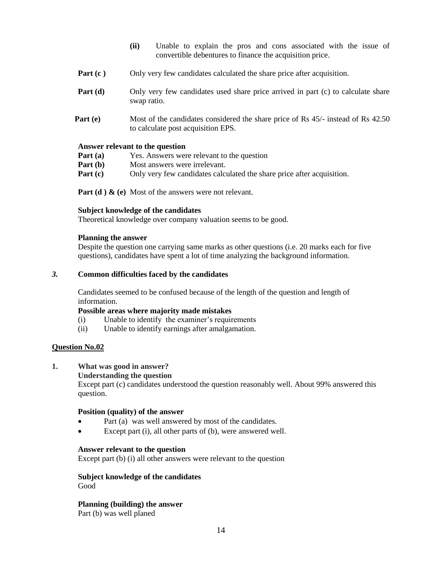- **(ii)** Unable to explain the pros and cons associated with the issue of convertible debentures to finance the acquisition price.
- **Part (c)** Only very few candidates calculated the share price after acquisition.
- **Part (d)** Only very few candidates used share price arrived in part (c) to calculate share swap ratio.
- **Part (e)** Most of the candidates considered the share price of Rs 45/- instead of Rs 42.50 to calculate post acquisition EPS.

#### **Answer relevant to the question**

- **Part (a)** Yes. Answers were relevant to the question
- **Part (b)** Most answers were irrelevant.
- **Part (c)** Only very few candidates calculated the share price after acquisition.

**Part (d) & (e)** Most of the answers were not relevant.

#### **Subject knowledge of the candidates**

Theoretical knowledge over company valuation seems to be good.

#### **Planning the answer**

Despite the question one carrying same marks as other questions (i.e. 20 marks each for five questions), candidates have spent a lot of time analyzing the background information.

#### *3.* **Common difficulties faced by the candidates**

Candidates seemed to be confused because of the length of the question and length of information.

#### **Possible areas where majority made mistakes**

- (i) Unable to identify the examiner's requirements
- (ii) Unable to identify earnings after amalgamation.

# **Question No.02**

# **1. What was good in answer?**

#### **Understanding the question**

Except part (c) candidates understood the question reasonably well. About 99% answered this question.

#### **Position (quality) of the answer**

- Part (a) was well answered by most of the candidates.
- Except part (i), all other parts of (b), were answered well.

#### **Answer relevant to the question**

Except part (b) (i) all other answers were relevant to the question

#### **Subject knowledge of the candidates** Good

**Planning (building) the answer**

Part (b) was well planed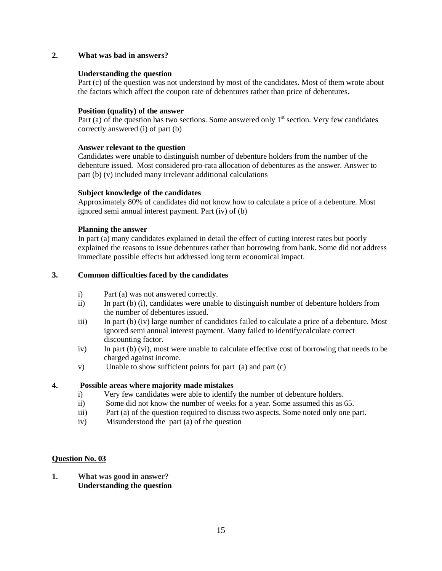# **2. What was bad in answers?**

## **Understanding the question**

Part (c) of the question was not understood by most of the candidates. Most of them wrote about the factors which affect the coupon rate of debentures rather than price of debentures**.**

## **Position (quality) of the answer**

Part (a) of the question has two sections. Some answered only  $1<sup>st</sup>$  section. Very few candidates correctly answered (i) of part (b)

#### **Answer relevant to the question**

Candidates were unable to distinguish number of debenture holders from the number of the debenture issued. Most considered pro-rata allocation of debentures as the answer. Answer to part (b) (v) included many irrelevant additional calculations

#### **Subject knowledge of the candidates**

Approximately 80% of candidates did not know how to calculate a price of a debenture. Most ignored semi annual interest payment. Part (iv) of (b)

#### **Planning the answer**

In part (a) many candidates explained in detail the effect of cutting interest rates but poorly explained the reasons to issue debentures rather than borrowing from bank. Some did not address immediate possible effects but addressed long term economical impact.

#### **3. Common difficulties faced by the candidates**

- i) Part (a) was not answered correctly.
- ii) In part (b) (i), candidates were unable to distinguish number of debenture holders from the number of debentures issued.
- iii) In part (b) (iv) large number of candidates failed to calculate a price of a debenture. Most ignored semi annual interest payment. Many failed to identify/calculate correct discounting factor.
- iv) In part (b) (vi), most were unable to calculate effective cost of borrowing that needs to be charged against income.
- v) Unable to show sufficient points for part (a) and part (c)

# **4. Possible areas where majority made mistakes**

- i) Very few candidates were able to identify the number of debenture holders.
- ii) Some did not know the number of weeks for a year. Some assumed this as 65.
- iii) Part (a) of the question required to discuss two aspects. Some noted only one part.
- iv) Misunderstood the part (a) of the question

#### **Question No. 03**

**1. What was good in answer? Understanding the question**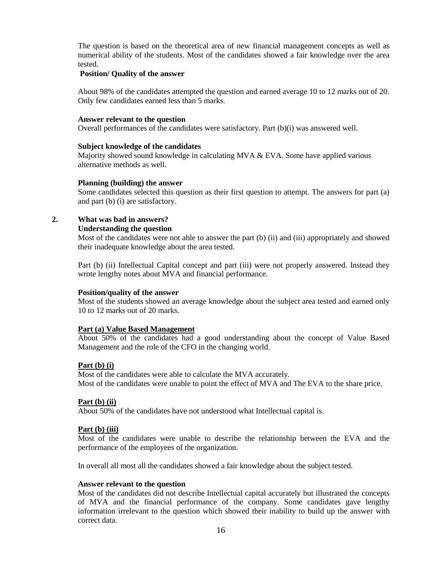The question is based on the theoretical area of new financial management concepts as well as numerical ability of the students. Most of the candidates showed a fair knowledge over the area tested.

#### **Position/ Quality of the answer**

About 98% of the candidates attempted the question and earned average 10 to 12 marks out of 20. Only few candidates earned less than 5 marks.

#### **Answer relevant to the question**

Overall performances of the candidates were satisfactory. Part (b)(i) was answered well.

#### **Subject knowledge of the candidates**

Majority showed sound knowledge in calculating  $MVA \& EVA$ . Some have applied various alternative methods as well.

#### **Planning (building) the answer**

Some candidates selected this question as their first question to attempt. The answers for part (a) and part (b) (i) are satisfactory.

# **2. What was bad in answers?**

#### **Understanding the question**

Most of the candidates were not able to answer the part (b) (ii) and (iii) appropriately and showed their inadequate knowledge about the area tested.

Part (b) (ii) Intellectual Capital concept and part (iii) were not properly answered. Instead they wrote lengthy notes about MVA and financial performance.

#### **Position/quality of the answer**

Most of the students showed an average knowledge about the subject area tested and earned only 10 to 12 marks out of 20 marks.

# **Part (a) Value Based Management**

About 50% of the candidates had a good understanding about the concept of Value Based Management and the role of the CFO in the changing world.

#### **Part (b) (i)**

Most of the candidates were able to calculate the MVA accurately. Most of the candidates were unable to point the effect of MVA and The EVA to the share price.

# **Part (b) (ii)**

About 50% of the candidates have not understood what Intellectual capital is.

# **Part (b) (iii)**

Most of the candidates were unable to describe the relationship between the EVA and the performance of the employees of the organization.

In overall all most all the candidates showed a fair knowledge about the subject tested.

#### **Answer relevant to the question**

Most of the candidates did not describe Intellectual capital accurately but illustrated the concepts of MVA and the financial performance of the company. Some candidates gave lengthy information irrelevant to the question which showed their inability to build up the answer with correct data.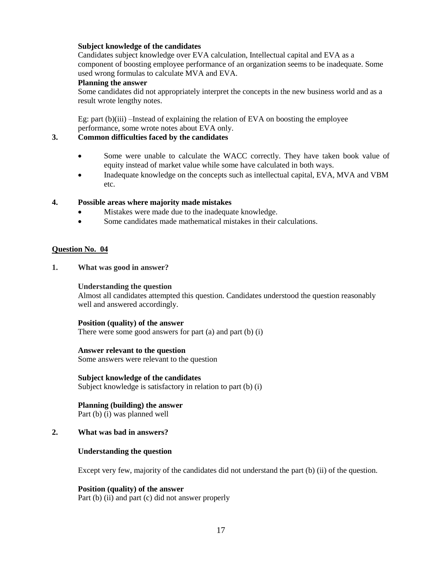# **Subject knowledge of the candidates**

Candidates subject knowledge over EVA calculation, Intellectual capital and EVA as a component of boosting employee performance of an organization seems to be inadequate. Some used wrong formulas to calculate MVA and EVA.

## **Planning the answer**

Some candidates did not appropriately interpret the concepts in the new business world and as a result wrote lengthy notes.

Eg: part (b)(iii) –Instead of explaining the relation of EVA on boosting the employee performance, some wrote notes about EVA only.

#### **3. Common difficulties faced by the candidates**

- Some were unable to calculate the WACC correctly. They have taken book value of equity instead of market value while some have calculated in both ways.
- Inadequate knowledge on the concepts such as intellectual capital, EVA, MVA and VBM etc.

#### **4. Possible areas where majority made mistakes**

- Mistakes were made due to the inadequate knowledge.
- Some candidates made mathematical mistakes in their calculations.

#### **Question No. 04**

**1. What was good in answer?**

#### **Understanding the question**

Almost all candidates attempted this question. Candidates understood the question reasonably well and answered accordingly.

#### **Position (quality) of the answer**

There were some good answers for part (a) and part (b) (i)

#### **Answer relevant to the question**

Some answers were relevant to the question

#### **Subject knowledge of the candidates**

Subject knowledge is satisfactory in relation to part (b) (i)

# **Planning (building) the answer**

Part (b) (i) was planned well

# **2. What was bad in answers?**

#### **Understanding the question**

Except very few, majority of the candidates did not understand the part (b) (ii) of the question.

# **Position (quality) of the answer**

Part (b) (ii) and part (c) did not answer properly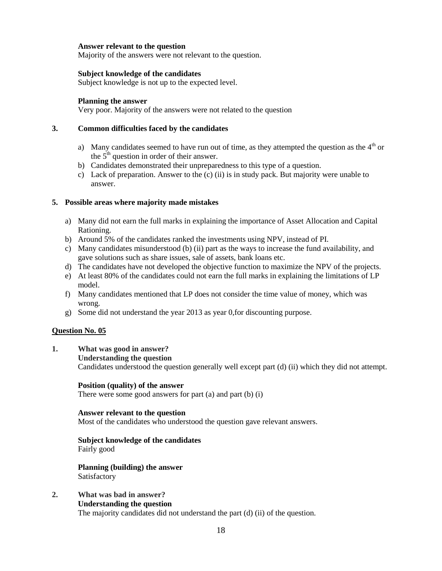## **Answer relevant to the question**

Majority of the answers were not relevant to the question.

#### **Subject knowledge of the candidates**

Subject knowledge is not up to the expected level.

#### **Planning the answer**

Very poor. Majority of the answers were not related to the question

## **3. Common difficulties faced by the candidates**

- a) Many candidates seemed to have run out of time, as they attempted the question as the  $4<sup>th</sup>$  or the  $5<sup>th</sup>$  question in order of their answer.
- b) Candidates demonstrated their unpreparedness to this type of a question.
- c) Lack of preparation. Answer to the  $(c)$  (ii) is in study pack. But majority were unable to answer.

#### **5. Possible areas where majority made mistakes**

- a) Many did not earn the full marks in explaining the importance of Asset Allocation and Capital Rationing.
- b) Around 5% of the candidates ranked the investments using NPV, instead of PI.
- c) Many candidates misunderstood (b) (ii) part as the ways to increase the fund availability, and gave solutions such as share issues, sale of assets, bank loans etc.
- d) The candidates have not developed the objective function to maximize the NPV of the projects.
- e) At least 80% of the candidates could not earn the full marks in explaining the limitations of LP model.
- f) Many candidates mentioned that LP does not consider the time value of money, which was wrong.
- g) Some did not understand the year 2013 as year 0,for discounting purpose.

# **Question No. 05**

# **1. What was good in answer?**

#### **Understanding the question**

Candidates understood the question generally well except part (d) (ii) which they did not attempt.

#### **Position (quality) of the answer**

There were some good answers for part (a) and part (b) (i)

#### **Answer relevant to the question**

Most of the candidates who understood the question gave relevant answers.

#### **Subject knowledge of the candidates** Fairly good

**Planning (building) the answer** Satisfactory

# **2. What was bad in answer?**

#### **Understanding the question**

The majority candidates did not understand the part (d) (ii) of the question.